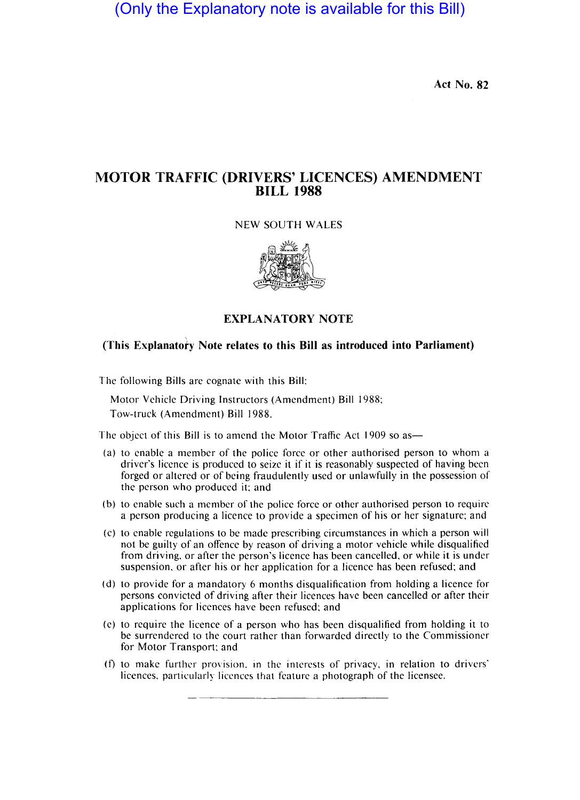(Only the Explanatory note is available for this Bill)

**Act No. 82** 

# **MOTOR TRAFFIC (DRIVERS' LICENCES) AMENDMENT BILL 1988**

## NEW SOUTH WALES



**EXPLANATORY NOTE** 

## **(This Explanatofy Note relates to this Bill as introduced into Parliament)**

The following Bills are cognate with this Bill:

Motor Vehicle Driving Instructors (Amendment) Bill 1988; Tow-truck (Amendment) Bill 1988.

The object of this Bill is to amend the Motor Traffic Act 1909 so as-

- (a) to enable a member of the police force or other authorised person to whom a driver's licence is produced to seize it if it is reasonably suspected of having been forged or altered or of being fraudulently used or unlawfully in the possession of the person who produced it: and
- (b) to enable such a member of the police force or other authorised person to require a person producing a licence to provide a specimen of his or her signature; and
- (c) to enable regulations to be made prescribing circumstances in which a person will not be guilty of an offence by reason of driving a motor vehicle while disqualified from driving. or after the person's licence has been cancelled. or while it is under suspension. or after his or her application for a licence has been refused; and
- (d) to provide for a mandatory 6 months disqualification from holding a licence for persons convicted of driving after their licences have been cancelled or after their applications for licences have been refused; and
- (e) to require the licence of a person who has been disqualified from holding it to be surrendered to the court rather than forwarded directly to the Commissioner for Motor Transport: and
- (f) to make further provision. 111 the interests of privacy. in relation to drivers' licences. particularly licences that feature a photograph of the licensee.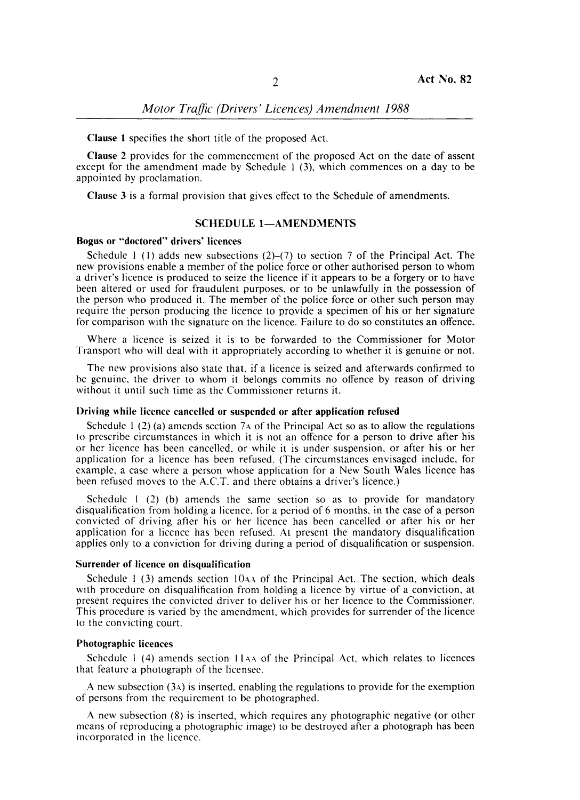**Clause I** specifies the short title of the proposed Act.

**Clause 2** provides for the commencement of the proposed Act on the date of assent except for the amendment made by Schedule 1 (3), which commences on a day to be appointed by proclamation.

**Clause 3** is a formal provision that gives effect to the Schedule of amendments.

## **SCHEDULE 1-AMENDMENTS**

### **Bogus or "doctored" drivers' licences**

Schedule 1 (1) adds new subsections  $(2)-(7)$  to section 7 of the Principal Act. The new provisions enable a member of the police force or other authorised person to whom a driver's licence is produced to seize the licence if it appears to be a forgery or to have been altered or used for fraudulent purposes, or to be unlawfully in the possession of the person who produced it. The member of the police force or other such person may require the person producing the licence to provide a specimen of his or her signature for comparison with the signature on the licence. Failure to do so constitutes an offence.

Where a licence is seized it is to be forwarded to the Commissioner for Motor Transport who will deal with it appropriately according to whether it is genuine or not.

The new provisions also state that. if a licence is seized and afterwards confirmed to be genuine, the driver to whom it belongs commits no offence by reason of driving without it until such time as the Commissioner returns it.

#### **Driving while licence cancelled or suspended or after application refused**

Schedule  $1(2)$  (a) amends section 7A of the Principal Act so as to allow the regulations 10 prescribe circumstances in which it is not an offence for a person to drive after his or her licence has been cancelled, or while it is under suspension, or after his or her application for a licence has been refused. (The circumstances envisaged include, for example, a case where a person whose application for a New South Wales licence has been refused moves to the A.C.T. and there obtains a driver's licence.)

Schedule I (2) (b) amends the same section so as to provide for mandatory disqualification from holding a licence, for a period of 6 months, in the case of a person convicted of driving after his or her licence has been cancelled or after his or her application for a licence has been refused. At present the mandatory disqualification applies only to a conviction for driving during a period of disqualification or suspension.

#### **Surrender of licence on disqualification**

Schedule  $\frac{1}{3}$  amends section  $\frac{104\text{A}}{104}$  of the Principal Act. The section, which deals with procedure on disqualification from holding a licence by virtue of a conviction, at present requires the convicted driver to deliver his or her licence to the Commissioner. This procedure is varied by the amendment, which provides for surrender of the licence to the convicting court.

### **Photographic licences**

Schedule 1 (4) amends section 11AA of the Principal Act, which relates to licences that feature a photograph of the licensee.

A new subsection  $(3A)$  is inserted, enabling the regulations to provide for the exemption of persons from the requirement to be photographed.

A new subsection (8) is inserted, which requires any photographic negative (or other means of reproducing a photographic image) to be destroyed after a photograph has been incorporated in the licence.